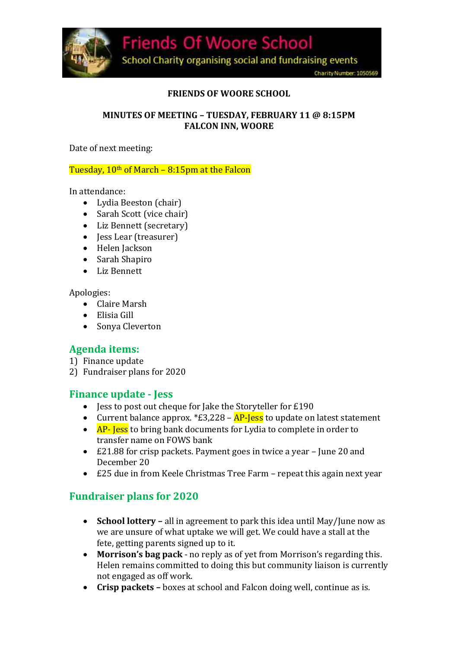

#### **FRIENDS OF WOORE SCHOOL**

#### **MINUTES OF MEETING – TUESDAY, FEBRUARY 11 @ 8:15PM FALCON INN, WOORE**

Date of next meeting:

#### Tuesday, 10th of March – 8:15pm at the Falcon

In attendance:

- Lydia Beeston (chair)
- Sarah Scott (vice chair)
- Liz Bennett (secretary)
- Jess Lear (treasurer)
- Helen Jackson
- Sarah Shapiro
- Liz Bennett

Apologies:

- Claire Marsh
- Elisia Gill
- Sonya Cleverton

### **Agenda items:**

- 1) Finance update
- 2) Fundraiser plans for 2020

#### **Finance update - Jess**

- Jess to post out cheque for Jake the Storyteller for £190
- Current balance approx.  $*E3,228 AP$ -Jess to update on latest statement
- $\overline{AP}$  Jess to bring bank documents for Lydia to complete in order to transfer name on FOWS bank
- £21.88 for crisp packets. Payment goes in twice a year June 20 and December 20
- £25 due in from Keele Christmas Tree Farm repeat this again next year

# **Fundraiser plans for 2020**

- **School lottery –** all in agreement to park this idea until May/June now as we are unsure of what uptake we will get. We could have a stall at the fete, getting parents signed up to it.
- **Morrison's bag pack**  no reply as of yet from Morrison's regarding this. Helen remains committed to doing this but community liaison is currently not engaged as off work.
- **Crisp packets –** boxes at school and Falcon doing well, continue as is.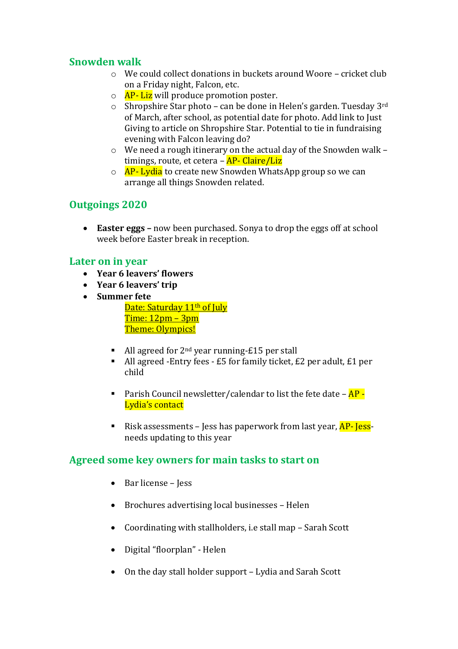### **Snowden walk**

- $\circ$  We could collect donations in buckets around Woore cricket club on a Friday night, Falcon, etc.
- o AP-Liz will produce promotion poster.
- $\circ$  Shropshire Star photo can be done in Helen's garden. Tuesday 3rd of March, after school, as potential date for photo. Add link to Just Giving to article on Shropshire Star. Potential to tie in fundraising evening with Falcon leaving do?
- o We need a rough itinerary on the actual day of the Snowden walk timings, route, et cetera – AP- Claire/Liz
- o AP- Lydia to create new Snowden WhatsApp group so we can arrange all things Snowden related.

## **Outgoings 2020**

 **Easter eggs –** now been purchased. Sonya to drop the eggs off at school week before Easter break in reception.

#### **Later on in year**

- **Year 6 leavers' flowers**
- **Year 6 leavers' trip**
- **Summer fete**

Date: Saturday 11<sup>th</sup> of July Time: 12pm – 3pm Theme: Olympics!

- All agreed for  $2^{nd}$  year running-£15 per stall
- All agreed -Entry fees £5 for family ticket, £2 per adult, £1 per child
- **Parish Council newsletter/calendar to list the fete date**  $AP -$ Lydia's contact
- **EXECT:** Risk assessments Jess has paperwork from last year, **AP- Jess**needs updating to this year

### **Agreed some key owners for main tasks to start on**

- Bar license Jess
- Brochures advertising local businesses Helen
- Coordinating with stallholders, i.e stall map Sarah Scott
- Digital "floorplan" Helen
- On the day stall holder support Lydia and Sarah Scott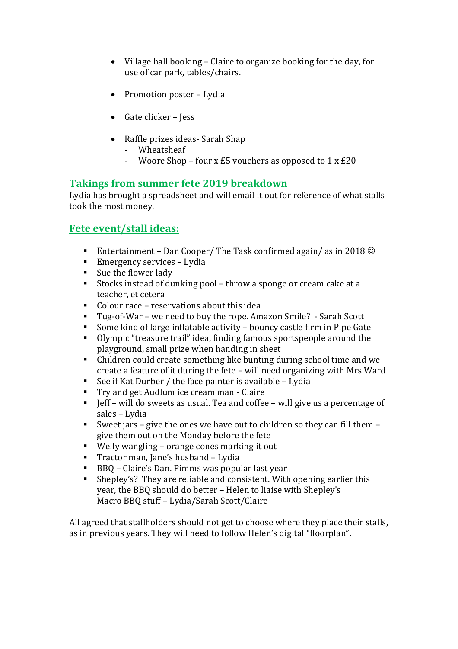- Village hall booking Claire to organize booking for the day, for use of car park, tables/chairs.
- Promotion poster Lydia
- Gate clicker Jess
- Raffle prizes ideas- Sarah Shap
	- Wheatsheaf
	- Woore Shop four x  $£5$  vouchers as opposed to  $1 \times £20$

### **Takings from summer fete 2019 breakdown**

Lydia has brought a spreadsheet and will email it out for reference of what stalls took the most money.

## **Fete event/stall ideas:**

- **Entertainment Dan Cooper/ The Task confirmed again/ as in 2018** $\odot$
- Emergency services Lydia
- Sue the flower lady<br>■ Stocks instead of du
- Stocks instead of dunking pool throw a sponge or cream cake at a teacher, et cetera
- Colour race reservations about this idea
- Tug-of-War we need to buy the rope. Amazon Smile? Sarah Scott
- Some kind of large inflatable activity bouncy castle firm in Pipe Gate
- Olympic "treasure trail" idea, finding famous sportspeople around the playground, small prize when handing in sheet
- Children could create something like bunting during school time and we create a feature of it during the fete – will need organizing with Mrs Ward
- See if Kat Durber / the face painter is available Lydia
- Try and get Audlum ice cream man Claire
- Jeff will do sweets as usual. Tea and coffee will give us a percentage of sales – Lydia
- Sweet jars give the ones we have out to children so they can fill them give them out on the Monday before the fete
- Welly wangling orange cones marking it out
- Tractor man, Jane's husband Lydia
- BBQ Claire's Dan. Pimms was popular last year
- Shepley's? They are reliable and consistent. With opening earlier this year, the BBQ should do better – Helen to liaise with Shepley's Macro BBQ stuff – Lydia/Sarah Scott/Claire

All agreed that stallholders should not get to choose where they place their stalls, as in previous years. They will need to follow Helen's digital "floorplan".